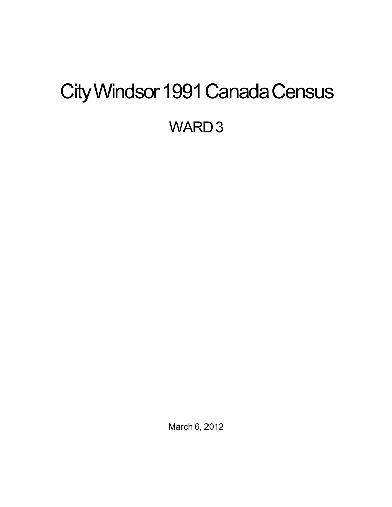# <span id="page-0-0"></span>City Windsor 1991 Canada Census WARD<sub>3</sub>

March 6, 2012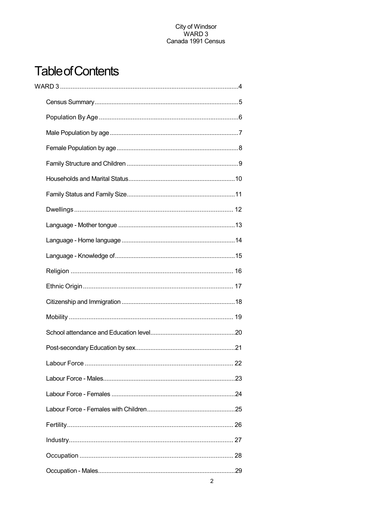## **Table of Contents**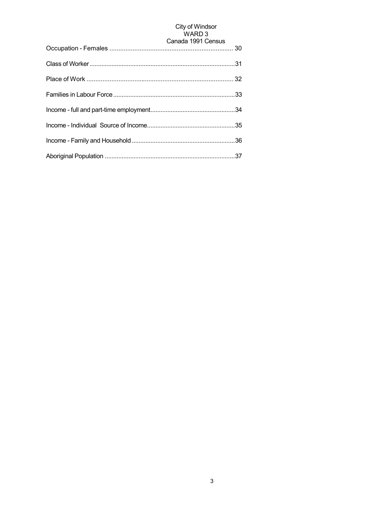## City of Windsor<br>WARD 3

| Canada 1991 Census |
|--------------------|
|                    |
|                    |
|                    |
|                    |
|                    |
|                    |
|                    |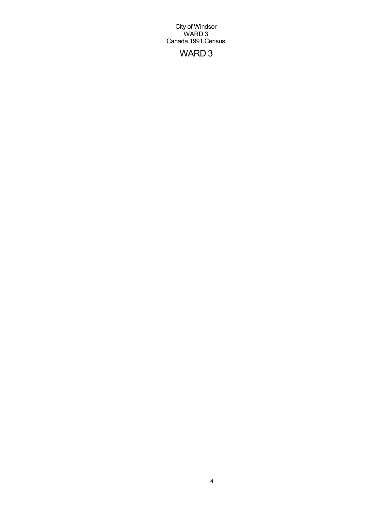## WARD 3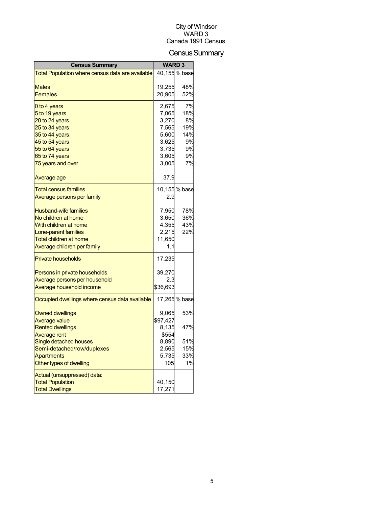## Census Summary

| <b>Census Summary</b>                            | <b>WARD3</b>  |               |
|--------------------------------------------------|---------------|---------------|
| Total Population where census data are available |               | 40,155 % base |
|                                                  |               |               |
| Males                                            | 19,255        | 48%           |
| <b>Females</b>                                   | 20,905        | 52%           |
| 0 to 4 years                                     | 2,675         | 7%            |
| 5 to 19 years                                    | 7,065         | 18%           |
| 20 to 24 years                                   | 3,270         | 8%            |
| 25 to 34 years                                   | 7,565         | 19%           |
| 35 to 44 years                                   | 5,600         | 14%           |
| 45 to 54 years                                   | 3,625         | 9%            |
| 55 to 64 years                                   | 3,735         | 9%            |
| 65 to 74 years                                   | 3,605         | 9%            |
| 75 years and over                                | 3,005         | 7%            |
| Average age                                      | 37.9          |               |
| <b>Total census families</b>                     |               | 10,155 % base |
| <u>Average persons per family</u>                | 2.9           |               |
|                                                  |               |               |
| <b>Husband-wife families</b>                     | 7,950         | 78%           |
| No children at home                              | 3,650         | 36%           |
| With children at home                            | 4,355         | 43%           |
| Lone-parent families                             | 2,215         | 22%           |
| Total children at home                           | 11,650<br>1.1 |               |
| Average children per family                      |               |               |
| <b>Private households</b>                        | 17,235        |               |
| Persons in private households                    | 39,270        |               |
| Average persons per household                    | 2.3           |               |
| Average household income                         | \$36,693      |               |
| Occupied dwellings where census data available   |               | 17,265 % base |
| <b>Owned dwellings</b>                           | 9,065         | 53%           |
| Average value                                    | \$97,427      |               |
| <b>Rented dwellings</b>                          | 8.135         | 47%           |
| Average rent                                     | \$554         |               |
| Single detached houses                           | 8,890         | 51%           |
| Semi-detached/row/duplexes                       | 2,565         | 15%           |
| Apartments                                       | 5,735         | 33%           |
| Other types of dwelling                          | 105           | 1%            |
| Actual (unsuppressed) data:                      |               |               |
| <b>Total Population</b>                          | 40,150        |               |
| <b>Total Dwellings</b>                           | 17,271        |               |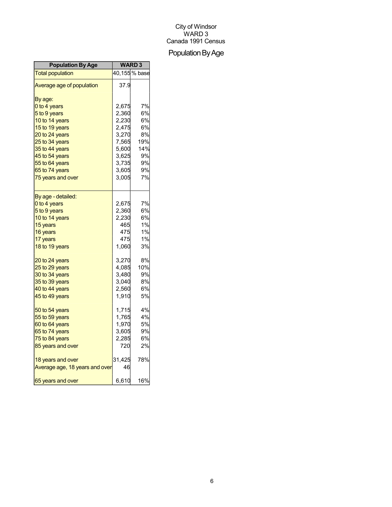## Population By Age

| <b>Population By Age</b>       | <b>WARD3</b> |               |
|--------------------------------|--------------|---------------|
| <b>Total population</b>        |              | 40,155 % base |
| Average age of population      | 37.9         |               |
| By age:                        |              |               |
| 0 to 4 years                   | 2,675        | 7%            |
| 5 to 9 years                   | 2,360        | 6%            |
| 10 to 14 years                 | 2,230        | 6%            |
| 15 to 19 years                 | 2,475        | 6%            |
| 20 to 24 years                 | 3,270        | 8%            |
| 25 to 34 years                 | 7,565        | 19%           |
| 35 to 44 years                 | 5,600        | 14%           |
| 45 to 54 years                 | 3,625        | 9%            |
| 55 to 64 years                 | 3,735        | 9%            |
| 65 to 74 years                 | 3,605        | 9%            |
| 75 years and over              | 3,005        | 7%            |
| By age - detailed:             |              |               |
| 0 to 4 years                   | 2,675        | 7%            |
| 5 to 9 years                   | 2,360        | 6%            |
| 10 to 14 years                 | 2,230        | 6%            |
| 15 years                       | 465          | 1%            |
| 16 years                       | 475          | 1%            |
| 17 years                       | 475          | 1%            |
| 18 to 19 years                 | 1,060        | 3%            |
| 20 to 24 years                 | 3,270        | 8%            |
| 25 to 29 years                 | 4,085        | 10%           |
| 30 to 34 years                 | 3,480        | 9%            |
| 35 to 39 years                 | 3,040        | 8%            |
| 40 to 44 years                 | 2,560        | 6%            |
| 45 to 49 years                 | 1,910        | 5%            |
| 50 to 54 years                 | 1,715        | 4%            |
| 55 to 59 years                 | 1,765        | 4%            |
| 60 to 64 years                 | 1,970        | 5%            |
| 65 to 74 years                 | 3,605        | 9%            |
| 75 to 84 years                 | 2,285        | 6%            |
| 85 years and over              | 720          | 2%            |
| 18 years and over              | 31,425       | 78%           |
| Average age, 18 years and over | 46           |               |
| 65 years and over              | 6,610        | 16%           |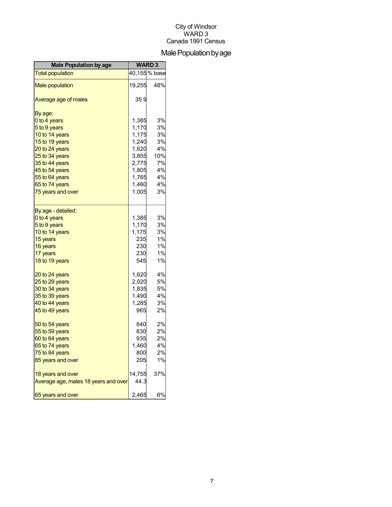## Male Population by age

| <b>Male Population by age</b>        | <b>WARD3</b> |               |
|--------------------------------------|--------------|---------------|
| <b>Total population</b>              |              | 40,155 % base |
| <b>Male population</b>               | 19,255       | 48%           |
| Average age of males                 | 35.9         |               |
| By age:                              |              |               |
| 0 to 4 years                         | 1,385        | 3%            |
| 5 to 9 years                         | 1,170        | 3%            |
| 10 to 14 years                       | 1,175        | 3%            |
| 15 to 19 years                       | 1,240        | 3%            |
| 20 to 24 years                       | 1,620        | 4%            |
| 25 to 34 years                       | 3,855        | 10%           |
| 35 to 44 years                       | 2,775        | 7%            |
| 45 to 54 years                       | 1,805        | 4%            |
| 55 to 64 years                       | 1,765        | 4%            |
| 65 to 74 years                       | 1,460        | 4%            |
| 75 years and over                    | 1,005        | 3%            |
| By age - detailed:                   |              |               |
| 0 to 4 years                         | 1,385        | 3%            |
| 5 to 9 years                         | 1,170        | 3%            |
| 10 to 14 years                       | 1,175        | 3%            |
| 15 years                             | 235          | 1%            |
| 16 years                             | 230          | 1%            |
| 17 years                             | 230          | 1%            |
| 18 to 19 years                       | 545          | 1%            |
| 20 to 24 years                       | 1,620        | 4%            |
| 25 to 29 years                       | 2,020        | 5%            |
| 30 to 34 years                       | 1,835        | 5%            |
| 35 to 39 years                       | 1,490        | 4%            |
| 40 to 44 years                       | 1,285        | 3%            |
| 45 to 49 years                       | 965          | 2%            |
| 50 to 54 years                       | 840          | 2%            |
| 55 to 59 years                       | 830          | 2%            |
| 60 to 64 years                       | 935          | 2%            |
| 65 to 74 years                       | 1,460        | 4%            |
| 75 to 84 years                       | 800          | 2%            |
| 85 years and over                    | 205          | 1%            |
| 18 years and over                    | 14,755       | 37%           |
| Average age, males 18 years and over | 44.3         |               |
| 65 years and over                    | 2,465        | 6%            |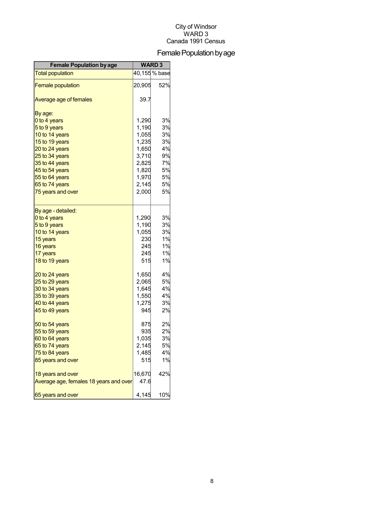## Female Population by age

| <b>Female Population by age</b>        | <b>WARD3</b> |               |
|----------------------------------------|--------------|---------------|
| <b>Total population</b>                |              | 40,155 % base |
| <b>Female population</b>               | 20,905       | 52%           |
| Average age of females                 | 39.7         |               |
| By age:                                |              |               |
| 0 to 4 years                           | 1,290        | 3%            |
| 5 to 9 years                           | 1,190        | 3%            |
| 10 to 14 years                         | 1,055        | 3%            |
| 15 to 19 years                         | 1,235        | 3%            |
| 20 to 24 years                         | 1,650        | 4%            |
| 25 to 34 years                         | 3,710        | 9%            |
| 35 to 44 years                         | 2,825        | 7%            |
| 45 to 54 years                         | 1,820        | 5%            |
| 55 to 64 years                         | 1,970        | 5%            |
| 65 to 74 years                         | 2,145        | 5%            |
| 75 years and over                      | 2,000        | 5%            |
| By age - detailed:                     |              |               |
| 0 to 4 years                           | 1,290        | 3%            |
| 5 to 9 years                           | 1,190        | 3%            |
| 10 to 14 years                         | 1,055        | 3%            |
| 15 years                               | 230          | 1%            |
| 16 years                               | 245          | 1%            |
| 17 years                               | 245          | 1%            |
| 18 to 19 years                         | 515          | 1%            |
| 20 to 24 years                         | 1,650        | 4%            |
| 25 to 29 years                         | 2,065        | 5%            |
| 30 to 34 years                         | 1,645        | 4%            |
| 35 to 39 years                         | 1,550        | 4%            |
| 40 to 44 years                         | 1,275        | 3%            |
| 45 to 49 years                         | 945          | 2%            |
| 50 to 54 years                         | 875          | 2%            |
| 55 to 59 years                         | 935          | 2%            |
| 60 to 64 years                         | 1,035        | 3%            |
| 65 to 74 years                         | 2,145        | 5%            |
| 75 to 84 years                         | 1,485        | 4%            |
| 85 years and over                      | 515          | 1%            |
| 18 years and over                      | 16,670       | 42%           |
| Average age, females 18 years and over | 47.6         |               |
| 65 years and over                      | 4,145        | 10%           |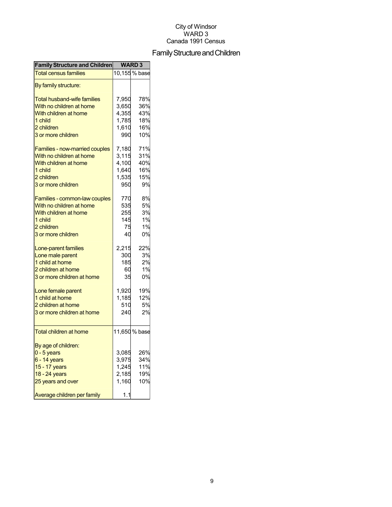## Family Structure and Children

| 10,155 % base<br>78%<br>7,950<br>With no children at home<br>36%<br>3,650<br>With children at home<br>4,355<br>43%<br>1,785<br>18%<br>1 child<br>16%<br>2 children<br>1,610<br>10%<br>3 or more children<br>990<br>7,180<br>71%<br>31%<br>3,115<br>4,100<br>40%<br>1,640<br>16%<br>1,535<br>15%<br>9%<br>950<br>8%<br>770<br>Families - common-law couples<br>5%<br>With no children at home<br>535<br>With children at home<br>3%<br>255<br>145<br>1%<br>1 child<br>75<br>1%<br>2 children<br>40<br>0%<br>3 or more children<br>22%<br>2,215<br>Lone-parent families<br>3%<br>Lone male parent<br>300<br>185<br>2%<br>1%<br>60<br>35<br>0%<br>1,920<br>19%<br>Lone female parent<br>1 child at home<br>12%<br>1,185<br>5%<br>2 children at home<br>510<br>240<br>2%<br>3 or more children at home<br>11,650 % base<br>By age of children:<br>$0 - 5$ years<br>3,085<br>26%<br>34%<br>6 - 14 years<br>3,975<br>11%<br>15 - 17 years<br>1,245<br>2,185<br>19%<br>18 - 24 years<br>1,160 | <b>Family Structure and Children</b> | <b>WARD3</b> |     |
|----------------------------------------------------------------------------------------------------------------------------------------------------------------------------------------------------------------------------------------------------------------------------------------------------------------------------------------------------------------------------------------------------------------------------------------------------------------------------------------------------------------------------------------------------------------------------------------------------------------------------------------------------------------------------------------------------------------------------------------------------------------------------------------------------------------------------------------------------------------------------------------------------------------------------------------------------------------------------------------|--------------------------------------|--------------|-----|
|                                                                                                                                                                                                                                                                                                                                                                                                                                                                                                                                                                                                                                                                                                                                                                                                                                                                                                                                                                                        | <b>Total census families</b>         |              |     |
|                                                                                                                                                                                                                                                                                                                                                                                                                                                                                                                                                                                                                                                                                                                                                                                                                                                                                                                                                                                        | By family structure:                 |              |     |
|                                                                                                                                                                                                                                                                                                                                                                                                                                                                                                                                                                                                                                                                                                                                                                                                                                                                                                                                                                                        | Total husband-wife families          |              |     |
|                                                                                                                                                                                                                                                                                                                                                                                                                                                                                                                                                                                                                                                                                                                                                                                                                                                                                                                                                                                        |                                      |              |     |
|                                                                                                                                                                                                                                                                                                                                                                                                                                                                                                                                                                                                                                                                                                                                                                                                                                                                                                                                                                                        |                                      |              |     |
|                                                                                                                                                                                                                                                                                                                                                                                                                                                                                                                                                                                                                                                                                                                                                                                                                                                                                                                                                                                        |                                      |              |     |
|                                                                                                                                                                                                                                                                                                                                                                                                                                                                                                                                                                                                                                                                                                                                                                                                                                                                                                                                                                                        |                                      |              |     |
|                                                                                                                                                                                                                                                                                                                                                                                                                                                                                                                                                                                                                                                                                                                                                                                                                                                                                                                                                                                        |                                      |              |     |
|                                                                                                                                                                                                                                                                                                                                                                                                                                                                                                                                                                                                                                                                                                                                                                                                                                                                                                                                                                                        |                                      |              |     |
|                                                                                                                                                                                                                                                                                                                                                                                                                                                                                                                                                                                                                                                                                                                                                                                                                                                                                                                                                                                        | Families - now-married couples       |              |     |
|                                                                                                                                                                                                                                                                                                                                                                                                                                                                                                                                                                                                                                                                                                                                                                                                                                                                                                                                                                                        | With no children at home             |              |     |
|                                                                                                                                                                                                                                                                                                                                                                                                                                                                                                                                                                                                                                                                                                                                                                                                                                                                                                                                                                                        | With children at home                |              |     |
|                                                                                                                                                                                                                                                                                                                                                                                                                                                                                                                                                                                                                                                                                                                                                                                                                                                                                                                                                                                        | 1 child                              |              |     |
|                                                                                                                                                                                                                                                                                                                                                                                                                                                                                                                                                                                                                                                                                                                                                                                                                                                                                                                                                                                        | 2 children                           |              |     |
|                                                                                                                                                                                                                                                                                                                                                                                                                                                                                                                                                                                                                                                                                                                                                                                                                                                                                                                                                                                        | 3 or more children                   |              |     |
|                                                                                                                                                                                                                                                                                                                                                                                                                                                                                                                                                                                                                                                                                                                                                                                                                                                                                                                                                                                        |                                      |              |     |
|                                                                                                                                                                                                                                                                                                                                                                                                                                                                                                                                                                                                                                                                                                                                                                                                                                                                                                                                                                                        |                                      |              |     |
|                                                                                                                                                                                                                                                                                                                                                                                                                                                                                                                                                                                                                                                                                                                                                                                                                                                                                                                                                                                        |                                      |              |     |
|                                                                                                                                                                                                                                                                                                                                                                                                                                                                                                                                                                                                                                                                                                                                                                                                                                                                                                                                                                                        |                                      |              |     |
|                                                                                                                                                                                                                                                                                                                                                                                                                                                                                                                                                                                                                                                                                                                                                                                                                                                                                                                                                                                        |                                      |              |     |
|                                                                                                                                                                                                                                                                                                                                                                                                                                                                                                                                                                                                                                                                                                                                                                                                                                                                                                                                                                                        |                                      |              |     |
|                                                                                                                                                                                                                                                                                                                                                                                                                                                                                                                                                                                                                                                                                                                                                                                                                                                                                                                                                                                        |                                      |              |     |
|                                                                                                                                                                                                                                                                                                                                                                                                                                                                                                                                                                                                                                                                                                                                                                                                                                                                                                                                                                                        |                                      |              |     |
|                                                                                                                                                                                                                                                                                                                                                                                                                                                                                                                                                                                                                                                                                                                                                                                                                                                                                                                                                                                        |                                      |              |     |
|                                                                                                                                                                                                                                                                                                                                                                                                                                                                                                                                                                                                                                                                                                                                                                                                                                                                                                                                                                                        | 1 child at home                      |              |     |
|                                                                                                                                                                                                                                                                                                                                                                                                                                                                                                                                                                                                                                                                                                                                                                                                                                                                                                                                                                                        | 2 children at home                   |              |     |
|                                                                                                                                                                                                                                                                                                                                                                                                                                                                                                                                                                                                                                                                                                                                                                                                                                                                                                                                                                                        | 3 or more children at home           |              |     |
|                                                                                                                                                                                                                                                                                                                                                                                                                                                                                                                                                                                                                                                                                                                                                                                                                                                                                                                                                                                        |                                      |              |     |
|                                                                                                                                                                                                                                                                                                                                                                                                                                                                                                                                                                                                                                                                                                                                                                                                                                                                                                                                                                                        |                                      |              |     |
|                                                                                                                                                                                                                                                                                                                                                                                                                                                                                                                                                                                                                                                                                                                                                                                                                                                                                                                                                                                        |                                      |              |     |
|                                                                                                                                                                                                                                                                                                                                                                                                                                                                                                                                                                                                                                                                                                                                                                                                                                                                                                                                                                                        |                                      |              |     |
|                                                                                                                                                                                                                                                                                                                                                                                                                                                                                                                                                                                                                                                                                                                                                                                                                                                                                                                                                                                        |                                      |              |     |
|                                                                                                                                                                                                                                                                                                                                                                                                                                                                                                                                                                                                                                                                                                                                                                                                                                                                                                                                                                                        | <b>Total children at home</b>        |              |     |
|                                                                                                                                                                                                                                                                                                                                                                                                                                                                                                                                                                                                                                                                                                                                                                                                                                                                                                                                                                                        |                                      |              |     |
|                                                                                                                                                                                                                                                                                                                                                                                                                                                                                                                                                                                                                                                                                                                                                                                                                                                                                                                                                                                        |                                      |              |     |
|                                                                                                                                                                                                                                                                                                                                                                                                                                                                                                                                                                                                                                                                                                                                                                                                                                                                                                                                                                                        |                                      |              |     |
|                                                                                                                                                                                                                                                                                                                                                                                                                                                                                                                                                                                                                                                                                                                                                                                                                                                                                                                                                                                        |                                      |              |     |
|                                                                                                                                                                                                                                                                                                                                                                                                                                                                                                                                                                                                                                                                                                                                                                                                                                                                                                                                                                                        |                                      |              |     |
|                                                                                                                                                                                                                                                                                                                                                                                                                                                                                                                                                                                                                                                                                                                                                                                                                                                                                                                                                                                        |                                      |              |     |
|                                                                                                                                                                                                                                                                                                                                                                                                                                                                                                                                                                                                                                                                                                                                                                                                                                                                                                                                                                                        | 25 years and over                    |              | 10% |
| 1.1                                                                                                                                                                                                                                                                                                                                                                                                                                                                                                                                                                                                                                                                                                                                                                                                                                                                                                                                                                                    | Average children per family          |              |     |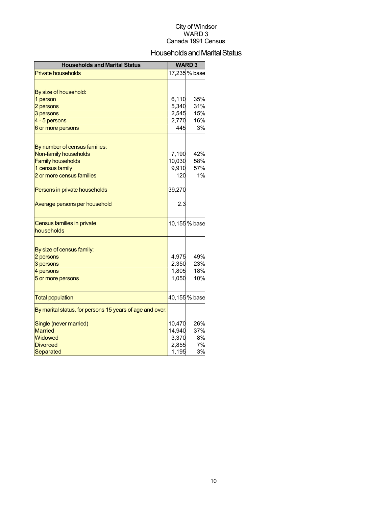## Households and Marital Status

| <b>Households and Marital Status</b>                     |                 | <b>WARD3</b>  |
|----------------------------------------------------------|-----------------|---------------|
| <b>Private households</b>                                |                 | 17,235 % base |
|                                                          |                 |               |
| By size of household:                                    |                 |               |
| 1 person                                                 | 6,110           | 35%           |
| 2 persons                                                | 5,340           | 31%           |
| 3 persons                                                | 2,545           | 15%           |
| 4 - 5 persons                                            | 2,770           | 16%           |
| 6 or more persons                                        | 445             | 3%            |
|                                                          |                 |               |
| By number of census families:<br>Non-family households   |                 | 42%           |
| <b>Family households</b>                                 | 7,190<br>10,030 | 58%           |
| 1 census family                                          | 9,910           | 57%           |
| 2 or more census families                                | 120             | 1%            |
|                                                          |                 |               |
| Persons in private households                            | 39,270          |               |
| Average persons per household                            | 2.3             |               |
| Census families in private                               |                 | 10,155 % base |
| households                                               |                 |               |
|                                                          |                 |               |
| By size of census family:<br>2 persons                   | 4,975           | 49%           |
| 3 persons                                                | 2,350           | 23%           |
| 4 persons                                                | 1,805           | 18%           |
| 5 or more persons                                        | 1,050           | 10%           |
|                                                          |                 |               |
| <b>Total population</b>                                  |                 | 40,155 % base |
| By marital status, for persons 15 years of age and over: |                 |               |
| Single (never married)                                   | 10,470          | 26%           |
| <b>Married</b>                                           | 14,940          | 37%           |
| Widowed                                                  | 3,370           | 8%            |
| <b>Divorced</b>                                          | 2,855           | 7%            |
| <b>Separated</b>                                         | 1,195           | 3%            |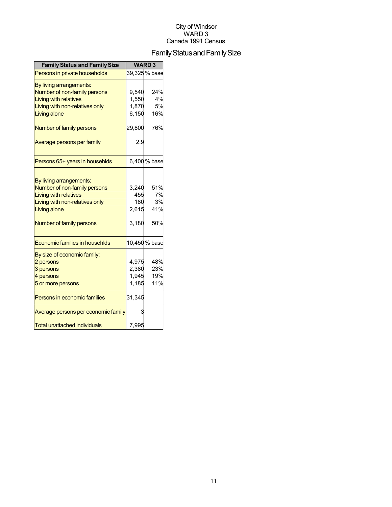## Family Status and Family Size

| <b>Family Status and Family Size</b> |        | <b>WARD3</b>  |
|--------------------------------------|--------|---------------|
| Persons in private households        |        | 39,325 % base |
| By living arrangements:              |        |               |
| Number of non-family persons         | 9,540  | 24%           |
| <b>Living with relatives</b>         | 1,550  | 4%            |
| Living with non-relatives only       | 1,870  | 5%            |
| Living alone                         | 6,150  | 16%           |
| Number of family persons             | 29,800 | 76%           |
| Average persons per family           | 2.9    |               |
| Persons 65+ years in househlds       |        | 6,400 % base  |
|                                      |        |               |
| By living arrangements:              |        |               |
| Number of non-family persons         | 3,240  | 51%           |
| <b>Living with relatives</b>         | 455    | 7%            |
| Living with non-relatives only       | 180    | 3%            |
| Living alone                         | 2,615  | 41%           |
| Number of family persons             | 3,180  | 50%           |
| Economic families in househlds       |        | 10,450 % base |
| By size of economic family:          |        |               |
| 2 persons                            | 4,975  | 48%           |
| 3 persons                            | 2,380  | 23%           |
| 4 persons                            | 1,945  | 19%           |
| 5 or more persons                    | 1,185  | 11%           |
| Persons in economic families         | 31,345 |               |
| Average persons per economic family  | 3      |               |
| Total unattached individuals         | 7,995  |               |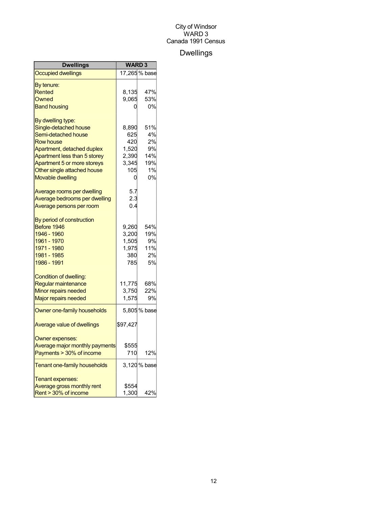## Dwellings

| Dwellings                         | <b>WARD3</b> |               |
|-----------------------------------|--------------|---------------|
| <b>Occupied dwellings</b>         |              | 17,265 % base |
| By tenure:                        |              |               |
| Rented                            | 8,135        | 47%           |
| Owned                             | 9,065        | 53%           |
| <b>Band housing</b>               | 0            | 0%            |
| By dwelling type:                 |              |               |
| Single-detached house             | 8,890        | 51%           |
| Semi-detached house               | 625          | 4%            |
| <b>Row house</b>                  | 420          | 2%            |
| Apartment, detached duplex        | 1,520        | 9%            |
| Apartment less than 5 storey      | 2,390        | 14%           |
| Apartment 5 or more storeys       | 3,345        | 19%           |
| Other single attached house       | 105          | 1%            |
| <b>Movable dwelling</b>           | 0            | 0%            |
| Average rooms per dwelling        | 5.7          |               |
| Average bedrooms per dwelling     | 2.3          |               |
| Average persons per room          | 0.4          |               |
| By period of construction         |              |               |
| Before 1946                       | 9,260        | 54%           |
| 1946 - 1960                       | 3,200        | 19%           |
| 1961 - 1970                       | 1,505        | 9%            |
| 1971 - 1980                       | 1,975        | 11%           |
| 1981 - 1985                       | 380          | 2%            |
| 1986 - 1991                       | 785          | 5%            |
| Condition of dwelling:            |              |               |
| Regular maintenance               | 11,775       | 68%           |
| Minor repairs needed              | 3,750        | 22%           |
| <b>Major repairs needed</b>       | 1,575        | 9%            |
| Owner one-family households       |              | 5,805 % base  |
| <b>Average value of dwellings</b> | \$97,427     |               |
| Owner expenses:                   |              |               |
| Average major monthly payments    | \$555        |               |
| Payments > 30% of income          | 710          | 12%           |
| Tenant one-family households      |              | 3,120 % base  |
| Tenant expenses:                  |              |               |
| Average gross monthly rent        | \$554        |               |
| Rent > 30% of income              | 1,300        | 42%           |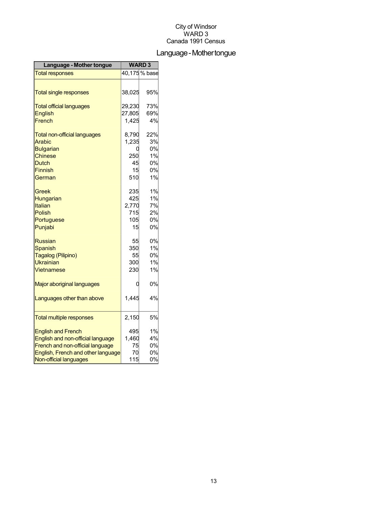## Language-Mothertongue

| Language - Mother tongue            | <b>WARD3</b> |               |
|-------------------------------------|--------------|---------------|
| <b>Total responses</b>              |              | 40,175 % base |
|                                     |              |               |
| <b>Total single responses</b>       | 38,025       | 95%           |
| <b>Total official languages</b>     | 29,230       | 73%           |
| <b>English</b>                      | 27,805       | 69%           |
| French                              | 1,425        | 4%            |
| <b>Total non-official languages</b> | 8,790        | 22%           |
| Arabic                              | 1,235        | 3%            |
| <b>Bulgarian</b>                    | 0            | 0%            |
| <b>Chinese</b>                      | 250          | 1%            |
| <b>Dutch</b>                        | 45           | 0%            |
| <b>Finnish</b>                      | 15           | 0%            |
| German                              | 510          | 1%            |
| Greek                               | 235          | 1%            |
| Hungarian                           | 425          | 1%            |
| Italian                             | 2,770        | 7%            |
| Polish                              | 715          | 2%            |
| Portuguese                          | 105          | 0%            |
| Punjabi                             | 15           | 0%            |
| <b>Russian</b>                      | 55           | 0%            |
| Spanish                             | 350          | 1%            |
| Tagalog (Pilipino)                  | 55           | 0%            |
| <b>Ukrainian</b>                    | 300          | 1%            |
| Vietnamese                          | 230          | 1%            |
| Major aboriginal languages          | 0            | 0%            |
| Languages other than above          | 1,445        | 4%            |
|                                     |              |               |
| <b>Total multiple responses</b>     | 2,150        | 5%            |
| <b>English and French</b>           | 495          | 1%            |
| English and non-official language   | 1,460        | 4%            |
| French and non-official language    | 75           | 0%            |
| English, French and other language  | 70           | 0%            |
| Non-official languages              | 115          | 0%            |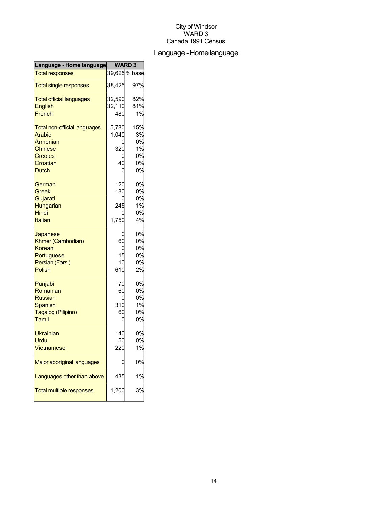## Language-Homelanguage

| Language - Home language            | <b>WARD3</b> |               |
|-------------------------------------|--------------|---------------|
| <b>Total responses</b>              |              | 39,625 % base |
| <b>Total single responses</b>       | 38,425       | 97%           |
| <b>Total official languages</b>     | 32,590       | 82%           |
| <b>English</b>                      | 32,110       | 81%           |
| French                              | 480          | 1%            |
| <b>Total non-official languages</b> | 5,780        | 15%           |
| Arabic                              | 1,040        | 3%            |
| Armenian                            |              | 0%            |
| <b>Chinese</b>                      | 320          | 1%            |
| <b>Creoles</b>                      |              | 0%            |
| Croatian                            | 40           | 0%            |
| <b>Dutch</b>                        | C            | 0%            |
| German                              | 120          | 0%            |
| Greek                               | 180          | 0%            |
| Gujarati                            |              | 0%            |
| Hungarian                           | 245          | 1%            |
| <b>Hindi</b>                        |              | 0%            |
| Italian                             | 1,750        | 4%            |
| Japanese                            | C            | 0%            |
| Khmer (Cambodian)                   | 60           | 0%            |
| Korean                              | 0            | 0%            |
| Portuguese                          | 15           | 0%            |
| Persian (Farsi)                     | 10           | 0%            |
| Polish                              | 610          | 2%            |
| Punjabi                             | 70           | 0%            |
| Romanian                            | 60           | 0%            |
| <b>Russian</b>                      |              | 0%            |
| <b>Spanish</b>                      | 310          | 1%            |
| Tagalog (Pilipino)                  | 60           | 0%            |
| Tamil                               | 0            | 0%            |
| <b>Ukrainian</b>                    | 140          | 0%            |
| Urdu                                | 50           | 0%            |
| <b>Vietnamese</b>                   | 220          | 1%            |
| Major aboriginal languages          |              | 0%            |
| Languages other than above          | 435          | 1%            |
| <b>Total multiple responses</b>     | 1,200        | 3%            |
|                                     |              |               |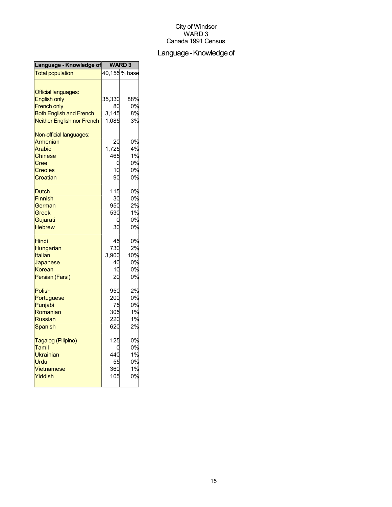## Language - Knowledge of

| Language - Knowledge of                                                                                                                        | <b>WARD3</b>                        |                                  |
|------------------------------------------------------------------------------------------------------------------------------------------------|-------------------------------------|----------------------------------|
| <b>Total population</b>                                                                                                                        |                                     | 40,155 % base                    |
| <b>Official languages:</b><br><b>English only</b><br><b>French only</b><br><b>Both English and French</b><br><b>Neither English nor French</b> | 35,330<br>80<br>3,145<br>1,085      | 88%<br>0%<br>8%<br>3%            |
| Non-official languages:<br>Armenian<br>Arabic<br><b>Chinese</b><br>Cree<br><b>Creoles</b><br>Croatian                                          | 20<br>1,725<br>465<br>0<br>10<br>90 | 0%<br>4%<br>1%<br>0%<br>0%<br>0% |
| <b>Dutch</b>                                                                                                                                   | 115                                 | 0%                               |
| <b>Finnish</b>                                                                                                                                 | 30                                  | 0%                               |
| German                                                                                                                                         | 950                                 | 2%                               |
| Greek                                                                                                                                          | 530                                 | 1%                               |
| Gujarati                                                                                                                                       | C                                   | 0%                               |
| <b>Hebrew</b>                                                                                                                                  | 30                                  | 0%                               |
| Hindi                                                                                                                                          | 45                                  | 0%                               |
| Hungarian                                                                                                                                      | 730                                 | 2%                               |
| <b>Italian</b>                                                                                                                                 | 3,900                               | 10%                              |
| Japanese                                                                                                                                       | 40                                  | 0%                               |
| Korean                                                                                                                                         | 10                                  | 0%                               |
| Persian (Farsi)                                                                                                                                | 20                                  | 0%                               |
| <b>Polish</b>                                                                                                                                  | 950                                 | 2%                               |
| Portuguese                                                                                                                                     | 200                                 | 0%                               |
| Punjabi                                                                                                                                        | 75                                  | 0%                               |
| Romanian                                                                                                                                       | 305                                 | 1%                               |
| <b>Russian</b>                                                                                                                                 | 220                                 | 1%                               |
| Spanish                                                                                                                                        | 620                                 | 2%                               |
| Tagalog (Pilipino)                                                                                                                             | 125                                 | 0%                               |
| Tamil                                                                                                                                          | ſ                                   | 0%                               |
| Ukrainian                                                                                                                                      | 440                                 | 1%                               |
| Urdu                                                                                                                                           | 55                                  | 0%                               |
| Vietnamese                                                                                                                                     | 360                                 | 1%                               |
| Yiddish                                                                                                                                        | 105                                 | 0%                               |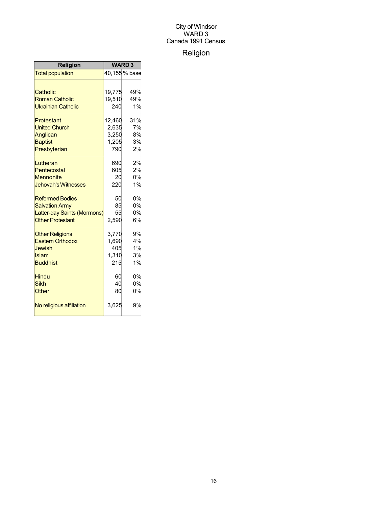## Religion

| <b>Religion</b>             | <b>WARD3</b> |               |
|-----------------------------|--------------|---------------|
| <b>Total population</b>     |              | 40,155 % base |
|                             |              |               |
| Catholic                    | 19,775       | 49%           |
| <b>Roman Catholic</b>       | 19,510       | 49%           |
| <b>Ukrainian Catholic</b>   | 240          | 1%            |
| Protestant                  | 12,460       | 31%           |
| <b>United Church</b>        | 2,635        | 7%            |
| Anglican                    | 3,250        | 8%            |
| <b>Baptist</b>              | 1,205        | 3%            |
| Presbyterian                | 790          | 2%            |
| Lutheran                    | 690          | 2%            |
| Pentecostal                 | 605          | 2%            |
| <b>Mennonite</b>            | 20           | 0%            |
| <b>Jehovah's Witnesses</b>  | 220          | 1%            |
| <b>Reformed Bodies</b>      | 50           | 0%            |
| <b>Salvation Army</b>       | 85           | 0%            |
| Latter-day Saints (Mormons) | 55           | 0%            |
| <b>Other Protestant</b>     | 2,590        | 6%            |
| <b>Other Religions</b>      | 3,770        | 9%            |
| <b>Eastern Orthodox</b>     | 1,690        | 4%            |
| <b>Jewish</b>               | 405          | 1%            |
| Islam                       | 1,310        | 3%            |
| <b>Buddhist</b>             | 215          | 1%            |
| <b>Hindu</b>                | 60           | 0%            |
| <b>Sikh</b>                 | 40           | 0%            |
| Other                       | 80           | 0%            |
| No religious affiliation    | 3,625        | 9%            |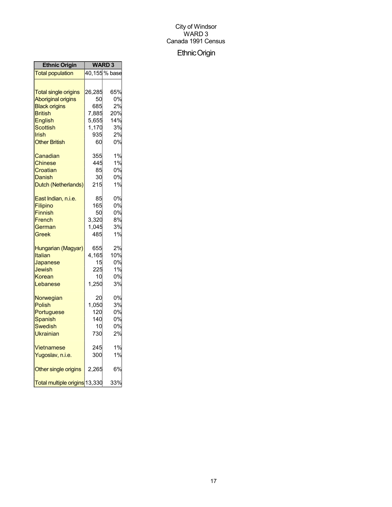## EthnicOrigin

| <b>Ethnic Origin</b>          | <b>WARD3</b> |               |
|-------------------------------|--------------|---------------|
| <b>Total population</b>       |              | 40,155 % base |
|                               |              |               |
| <b>Total single origins</b>   | 26,285       | 65%           |
| <b>Aboriginal origins</b>     | 50           | 0%            |
| <b>Black origins</b>          | 685          | 2%            |
| <b>British</b>                | 7,885        | 20%           |
| English                       | 5,655        | 14%           |
| Scottish                      | 1,170        | 3%            |
| Irish                         | 935          | 2%            |
| <b>Other British</b>          | 60           | 0%            |
| Canadian                      | 355          | 1%            |
| Chinese                       | 445          | 1%            |
| Croatian                      | 85           | 0%            |
| Danish                        | 30           | 0%            |
| Dutch (Netherlands)           | 215          | 1%            |
| East Indian, n.i.e.           | 85           | 0%            |
| Filipino                      | 165          | 0%            |
| <b>Finnish</b>                | 50           | 0%            |
| French                        | 3,320        | 8%            |
| German                        | 1,045        | 3%            |
| Greek                         | 485          | 1%            |
| Hungarian (Magyar)            | 655          | 2%            |
| Italian                       | 4,165        | 10%           |
| Japanese                      | 15           | 0%            |
| Jewish                        | 225          | 1%            |
| Korean                        | 10           | 0%            |
| Lebanese                      | 1,250        | 3%            |
| Norwegian                     | 20           | 0%            |
| <b>Polish</b>                 | 1,050        | 3%            |
| Portuguese                    | 120          | 0%            |
| <b>Spanish</b>                | 140          | 0%            |
| Swedish                       | 10           | 0%            |
| Ukrainian                     | 730          | 2%            |
| Vietnamese                    | 245          | 1%            |
| Yugoslav, n.i.e.              | 300          | 1%            |
| Other single origins          | 2,265        | 6%            |
| Total multiple origins 13,330 |              | 33%           |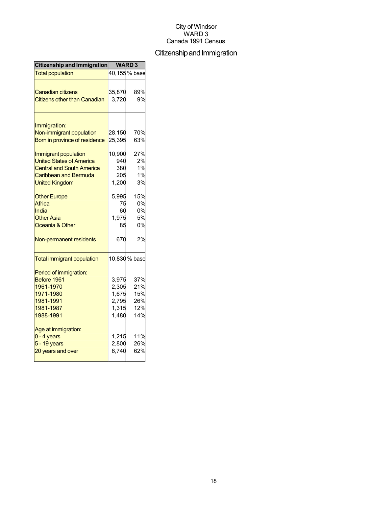## Citizenship and Immigration

| Citizenship and Immigration              | <b>WARD3</b> |               |
|------------------------------------------|--------------|---------------|
| <b>Total population</b>                  |              | 40,155 % base |
|                                          |              |               |
| <b>Canadian citizens</b>                 | 35,870       | 89%           |
| <b>Citizens other than Canadian</b>      | 3,720        | 9%            |
|                                          |              |               |
| Immigration:<br>Non-immigrant population | 28,150       | 70%           |
| Born in province of residence            | 25,395       | 63%           |
|                                          |              |               |
| Immigrant population                     | 10,900       | 27%           |
| <b>United States of America</b>          | 940          | 2%            |
| <b>Central and South America</b>         | 380          | 1%            |
| <b>Caribbean and Bermuda</b>             | 205          | 1%            |
| <b>United Kingdom</b>                    | 1,200        | 3%            |
| <b>Other Europe</b>                      | 5,995        | 15%           |
| Africa                                   | 75           | 0%            |
| India                                    | 60           | 0%            |
| <b>Other Asia</b>                        | 1,975        | 5%            |
| Oceania & Other                          | 85           | 0%            |
| Non-permanent residents                  | 670          | 2%            |
| <b>Total immigrant population</b>        |              | 10,830 % base |
| Period of immigration:                   |              |               |
| Before 1961                              | 3,975        | 37%           |
| 1961-1970                                | 2,305        | 21%           |
| 1971-1980                                | 1,675        | 15%           |
| 1981-1991                                | 2,795        | 26%           |
| 1981-1987                                | 1,315        | 12%           |
| 1988-1991                                | 1,480        | 14%           |
| Age at immigration:                      |              |               |
| $0 - 4$ years                            | 1,215        | 11%           |
| $5 - 19$ years                           | 2,800        | 26%           |
| 20 years and over                        | 6,740        | 62%           |
|                                          |              |               |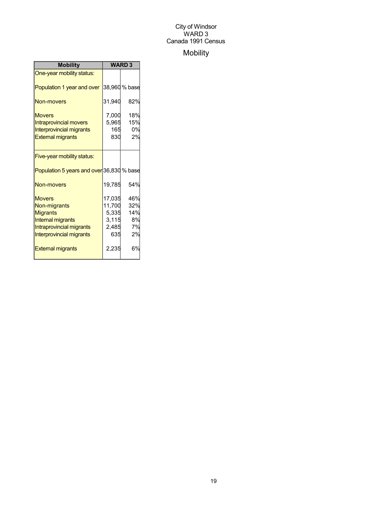## Mobility

| <b>Mobility</b>                                                                                                               | <b>WARD3</b>                                       |                                     |
|-------------------------------------------------------------------------------------------------------------------------------|----------------------------------------------------|-------------------------------------|
| One-year mobility status:                                                                                                     |                                                    |                                     |
| Population 1 year and over                                                                                                    |                                                    | 38,960 % base                       |
| Non-movers                                                                                                                    | 31,940                                             | 82%                                 |
| <b>Movers</b><br><b>Intraprovincial movers</b><br><b>Interprovincial migrants</b><br><b>External migrants</b>                 | 7,000<br>5,965<br>165<br>830                       | 18%<br>15%<br>0%<br>2%              |
| Five-year mobility status:                                                                                                    |                                                    |                                     |
| Population 5 years and over 36,830 % base                                                                                     |                                                    |                                     |
| Non-movers                                                                                                                    | 19,785                                             | 54%                                 |
| <b>Movers</b><br>Non-migrants<br><b>Migrants</b><br>Internal migrants<br>Intraprovincial migrants<br>Interprovincial migrants | 17,035<br>11,700<br>5,335<br>3,115<br>2,485<br>635 | 46%<br>32%<br>14%<br>8%<br>7%<br>2% |
| <b>External migrants</b>                                                                                                      | 2,235                                              | 6%                                  |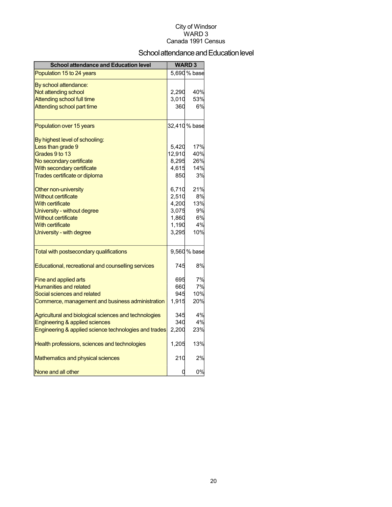## School attendance and Education level

| <b>School attendance and Education level</b>          |        | <b>WARD3</b>              |
|-------------------------------------------------------|--------|---------------------------|
| Population 15 to 24 years                             |        | $\overline{5,690}$ % base |
| By school attendance:                                 |        |                           |
| Not attending school                                  | 2,290  | 40%                       |
| <b>Attending school full time</b>                     | 3,010  | 53%                       |
| Attending school part time                            | 360    | 6%                        |
| Population over 15 years                              |        | 32,410 % base             |
| By highest level of schooling:                        |        |                           |
| Less than grade 9                                     | 5,420  | 17%                       |
| Grades 9 to 13                                        | 12,910 | 40%                       |
| No secondary certificate                              | 8,295  | 26%                       |
| With secondary certificate                            | 4,615  | 14%                       |
| Trades certificate or diploma                         | 850    | 3%                        |
| Other non-university                                  | 6,710  | 21%                       |
| <b>Without certificate</b>                            | 2,510  | 8%                        |
| <b>With certificate</b>                               | 4,200  | 13%                       |
| University - without degree                           | 3,075  | 9%                        |
| <b>Without certificate</b>                            | 1,860  | 6%                        |
| <b>With certificate</b>                               | 1,190  | 4%                        |
| University - with degree                              | 3,295  | 10%                       |
| Total with postsecondary qualifications               |        | 9,560 % base              |
| Educational, recreational and counselling services    | 745    | 8%                        |
| Fine and applied arts                                 | 695    | 7%                        |
| <b>Humanities and related</b>                         | 660    | 7%                        |
| Social sciences and related                           | 945    | 10%                       |
| Commerce, management and business administration      | 1,915  | 20%                       |
| Agricultural and biological sciences and technologies | 345    | 4%                        |
| <b>Engineering &amp; applied sciences</b>             | 340    | 4%                        |
| Engineering & applied science technologies and trades | 2,200  | 23%                       |
| Health professions, sciences and technologies         | 1,205  | 13%                       |
| <b>Mathematics and physical sciences</b>              | 210    | 2%                        |
| None and all other                                    | 0      | 0%                        |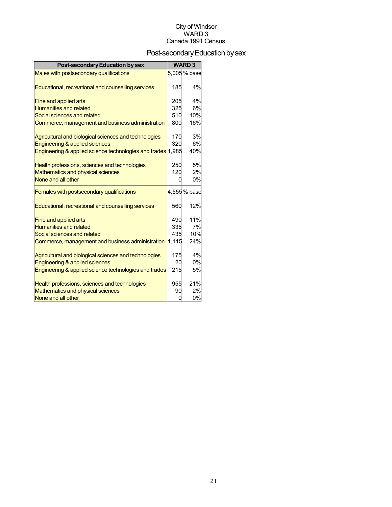## Post-secondary Education by sex

| <b>Post-secondary Education by sex</b>                      |       | <b>WARD3</b> |
|-------------------------------------------------------------|-------|--------------|
| Males with postsecondary qualifications                     |       | 5,005 % base |
| Educational, recreational and counselling services          | 185   | 4%           |
| Fine and applied arts                                       | 205   | 4%           |
| <b>Humanities and related</b>                               | 325   | 6%           |
| Social sciences and related                                 | 510   | 10%          |
| Commerce, management and business administration            | 800   | 16%          |
| Agricultural and biological sciences and technologies       | 170   | 3%           |
| <b>Engineering &amp; applied sciences</b>                   | 320   | 6%           |
| Engineering & applied science technologies and trades 1,985 |       | 40%          |
| Health professions, sciences and technologies               | 250   | 5%           |
| Mathematics and physical sciences                           | 120   | 2%           |
| None and all other                                          | U     | 0%           |
| Females with postsecondary qualifications                   |       | 4,555% base  |
| Educational, recreational and counselling services          | 560   | 12%          |
| <b>Fine and applied arts</b>                                | 490   | 11%          |
| <b>Humanities and related</b>                               | 335   | 7%           |
| Social sciences and related                                 | 435   | 10%          |
| Commerce, management and business administration            | 1,115 | 24%          |
| Agricultural and biological sciences and technologies       | 175   | 4%           |
| Engineering & applied sciences                              | 20    | 0%           |
| Engineering & applied science technologies and trades       | 215   | 5%           |
| Health professions, sciences and technologies               | 955   | 21%          |
| Mathematics and physical sciences                           | 90    | 2%           |
| None and all other                                          | ŋ     | 0%           |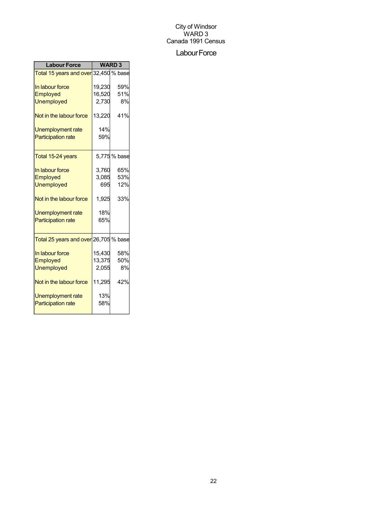#### Labour Force

| <b>Labour Force</b>                                | <b>WARD3</b> |              |  |
|----------------------------------------------------|--------------|--------------|--|
| Total 15 years and over 32,450 % base              |              |              |  |
| In labour force                                    | 19,230       | 59%          |  |
| Employed                                           | 16,520       | 51%          |  |
| <b>Unemployed</b>                                  | 2,730        | 8%           |  |
| Not in the labour force                            | 13,220       | 41%          |  |
| Unemployment rate                                  | 14%          |              |  |
| <b>Participation rate</b>                          | 59%          |              |  |
| Total 15-24 years                                  |              | 5,775 % base |  |
| In labour force                                    | 3,760        | 65%          |  |
| Employed                                           | 3,085        | 53%          |  |
| <b>Unemployed</b>                                  | 695          | 12%          |  |
| Not in the labour force                            | 1,925        | 33%          |  |
| Unemployment rate                                  | 18%          |              |  |
| <b>Participation rate</b>                          | 65%          |              |  |
| <mark>Total 25 years and over</mark> 26,705 % base |              |              |  |
| In labour force                                    | 15,430       | 58%          |  |
| Employed                                           | 13,375       | 50%          |  |
| <b>Unemployed</b>                                  | 2,055        | 8%           |  |
| Not in the labour force                            | 11,295       | 42%          |  |
| Unemployment rate                                  | 13%          |              |  |
| <b>Participation rate</b>                          | 58%          |              |  |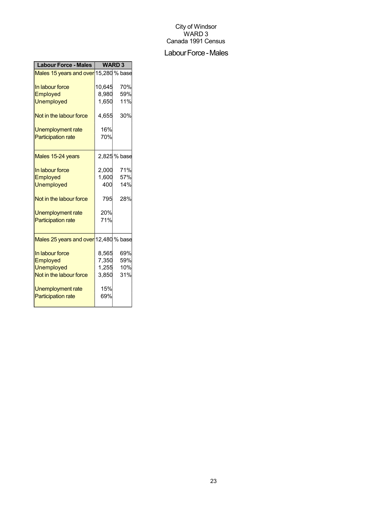#### Labour Force - Males

| <b>Labour Force - Males</b>                           | <b>WARD3</b> |              |
|-------------------------------------------------------|--------------|--------------|
| Males 15 years and over 15,280 % base                 |              |              |
| In labour force                                       | 10,645       | 70%          |
| Employed                                              | 8,980        | 59%          |
| <b>Unemployed</b>                                     | 1,650        | 11%          |
| Not in the labour force                               | 4,655        | 30%          |
| Unemployment rate                                     | 16%          |              |
| <b>Participation rate</b>                             | 70%          |              |
| Males 15-24 years                                     |              | 2,825 % base |
| In labour force                                       | 2,000        | 71%          |
| Employed                                              | 1,600        | 57%          |
| <b>Unemployed</b>                                     | 400          | 14%          |
| Not in the labour force                               | 795          | 28%          |
| <b>Unemployment rate</b>                              | 20%          |              |
| <b>Participation rate</b>                             | 71%          |              |
| Males 25 years and over 12,480 % base                 |              |              |
| In labour force                                       | 8,565        | 69%          |
| Employed                                              | 7,350        | 59%          |
| <b>Unemployed</b>                                     | 1,255        | 10%          |
| Not in the labour force                               | 3,850        | 31%          |
| <b>Unemployment rate</b><br><b>Participation rate</b> | 15%<br>69%   |              |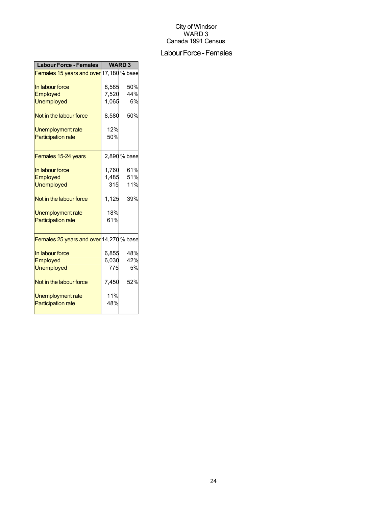#### Labour Force - Females

| <b>Labour Force - Females</b>           | <b>WARD3</b> |              |
|-----------------------------------------|--------------|--------------|
| Females 15 years and over 17,180 % base |              |              |
| In labour force                         | 8,585        | 50%          |
| <b>Employed</b>                         | 7,520        | 44%          |
| <b>Unemployed</b>                       | 1,065        | 6%           |
| Not in the labour force                 | 8,580        | 50%          |
| <b>Unemployment rate</b>                | 12%          |              |
| <b>Participation rate</b>               | 50%          |              |
| Females 15-24 years                     |              | 2,890 % base |
| In labour force                         | 1,760        | 61%          |
| Employed                                | 1,485        | 51%          |
| <b>Unemployed</b>                       | 315          | 11%          |
| Not in the labour force                 | 1,125        | 39%          |
| Unemployment rate                       | 18%          |              |
| <b>Participation rate</b>               | 61%          |              |
| Females 25 years and over 14,270 % base |              |              |
| In labour force                         | 6,855        | 48%          |
| Employed                                | 6,030        | 42%          |
| <b>Unemployed</b>                       | 775          | 5%           |
| Not in the labour force                 | 7,450        | 52%          |
| Unemployment rate                       | 11%          |              |
| <b>Participation rate</b>               | 48%          |              |
|                                         |              |              |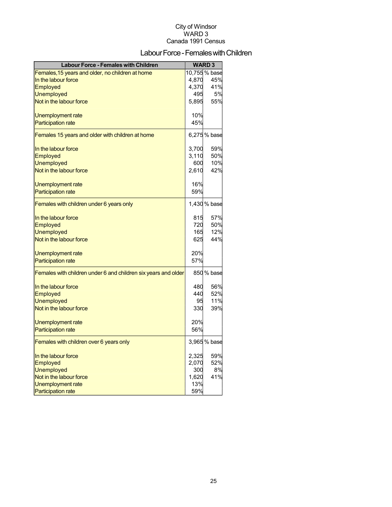## Labour Force - Females with Children

| <b>Labour Force - Females with Children</b>                    |       | <b>WARD3</b>  |
|----------------------------------------------------------------|-------|---------------|
| Females, 15 years and older, no children at home               |       | 10,755 % base |
| In the labour force                                            | 4,870 | 45%           |
| Employed                                                       | 4,370 | 41%           |
| <b>Unemployed</b>                                              | 495   | 5%            |
| Not in the labour force                                        | 5,895 | 55%           |
| Unemployment rate                                              | 10%   |               |
| <b>Participation rate</b>                                      | 45%   |               |
| Females 15 years and older with children at home               |       | 6,275 % base  |
|                                                                |       |               |
| In the labour force                                            | 3,700 | 59%           |
| Employed                                                       | 3,110 | 50%           |
| <b>Unemployed</b>                                              | 600   | 10%           |
| Not in the labour force                                        | 2,610 | 42%           |
| Unemployment rate                                              | 16%   |               |
| <b>Participation rate</b>                                      | 59%   |               |
| Females with children under 6 years only                       |       | 1,430 % base  |
| In the labour force                                            | 815   | 57%           |
| Employed                                                       | 720   | 50%           |
| <b>Unemployed</b>                                              | 165   | 12%           |
| Not in the labour force                                        | 625   | 44%           |
| Unemployment rate                                              | 20%   |               |
| <b>Participation rate</b>                                      | 57%   |               |
|                                                                |       |               |
| Females with children under 6 and children six years and older |       | 850 % base    |
| In the labour force                                            | 480   | 56%           |
| Employed                                                       | 440   | 52%           |
| <b>Unemployed</b>                                              | 95    | 11%           |
| Not in the labour force                                        | 330   | 39%           |
| Unemployment rate                                              | 20%   |               |
| <b>Participation rate</b>                                      | 56%   |               |
| Females with children over 6 years only                        |       | 3,965 % base  |
| In the labour force                                            | 2,325 | 59%           |
| Employed                                                       | 2,070 | 52%           |
| <b>Unemployed</b>                                              | 300   | 8%            |
| Not in the labour force                                        | 1,620 | 41%           |
| Unemployment rate                                              | 13%   |               |
| <b>Participation rate</b>                                      | 59%   |               |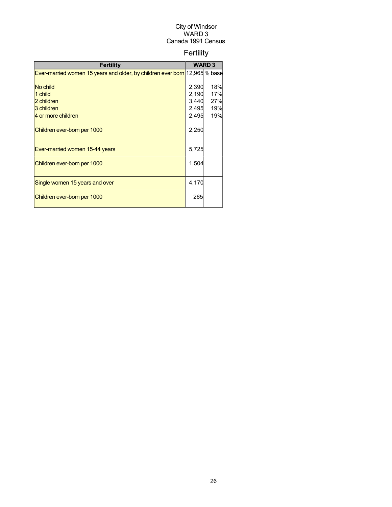## Fertility

| <b>Fertility</b>                                                           |       | <b>WARD3</b> |
|----------------------------------------------------------------------------|-------|--------------|
| Ever-married women 15 years and older, by children ever born 12,965 % base |       |              |
|                                                                            |       |              |
| No child                                                                   | 2,390 | 18%          |
| 1 child                                                                    | 2,190 | 17%          |
| 2 children                                                                 | 3,440 | 27%          |
| 3 children                                                                 | 2,495 | 19%          |
| 4 or more children                                                         | 2,495 | 19%          |
| Children ever-born per 1000                                                | 2,250 |              |
| Ever-married women 15-44 years                                             | 5,725 |              |
| Children ever-born per 1000                                                | 1,504 |              |
| Single women 15 years and over                                             | 4,170 |              |
| Children ever-born per 1000                                                | 265   |              |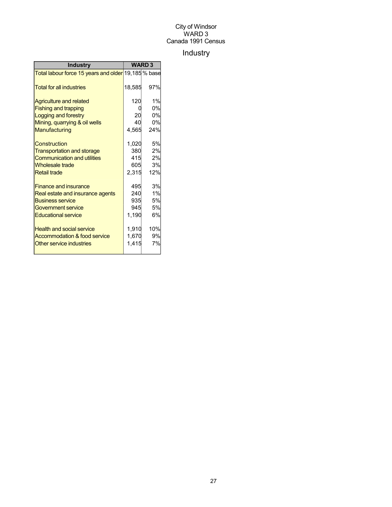## Industry

| <b>Industry</b>                                     |        | <b>WARD 3</b> |  |
|-----------------------------------------------------|--------|---------------|--|
| Total labour force 15 years and older 19,185 % base |        |               |  |
| <b>Total for all industries</b>                     | 18,585 | 97%           |  |
| <b>Agriculture and related</b>                      | 120    | 1%            |  |
| <b>Fishing and trapping</b>                         |        | 0%            |  |
| Logging and forestry                                | 20     | 0%            |  |
| Mining, quarrying & oil wells                       | 40     | 0%            |  |
| Manufacturing                                       | 4,565  | 24%           |  |
| Construction                                        | 1,020  | 5%            |  |
| <b>Transportation and storage</b>                   | 380    | 2%            |  |
| <b>Communication and utilities</b>                  | 415    | 2%            |  |
| <b>Wholesale trade</b>                              | 605    | 3%            |  |
| <b>Retail trade</b>                                 | 2,315  | 12%           |  |
| <b>Finance and insurance</b>                        | 495    | 3%            |  |
| Real estate and insurance agents                    | 240    | 1%            |  |
| <b>Business service</b>                             | 935    | 5%            |  |
| <b>Government service</b>                           | 945    | 5%            |  |
| <b>Educational service</b>                          | 1,190  | 6%            |  |
| <b>Health and social service</b>                    | 1,910  | 10%           |  |
| Accommodation & food service                        | 1,670  | 9%            |  |
| Other service industries                            | 1,415  | 7%            |  |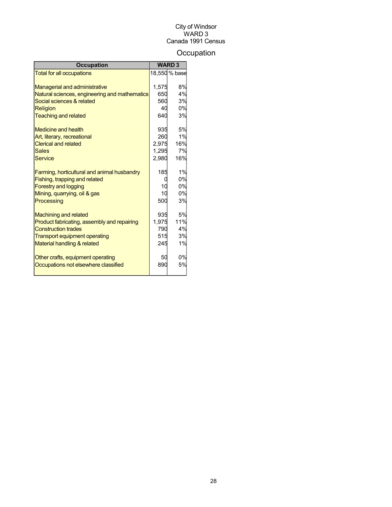## **Occupation**

| <b>Occupation</b>                                                          |       | <b>WARD3</b>  |
|----------------------------------------------------------------------------|-------|---------------|
| <b>Total for all occupations</b>                                           |       | 18,550 % base |
|                                                                            | 1,575 | 8%            |
| <b>Managerial and administrative</b>                                       | 650   | 4%            |
| Natural sciences, engineering and mathematics<br>Social sciences & related | 560   | 3%            |
|                                                                            |       | 0%            |
| Religion                                                                   | 40    |               |
| <b>Teaching and related</b>                                                | 640   | 3%            |
| Medicine and health                                                        | 935   | 5%            |
| Art, literary, recreational                                                | 260   | 1%            |
| <b>Clerical and related</b>                                                | 2,975 | 16%           |
| <b>Sales</b>                                                               | 1,295 | 7%            |
| Service                                                                    | 2,980 | 16%           |
|                                                                            |       |               |
| Farming, horticultural and animal husbandry                                | 185   | 1%            |
| Fishing, trapping and related                                              |       | 0%            |
| <b>Forestry and logging</b>                                                | 10    | 0%            |
| Mining, quarrying, oil & gas                                               | 10    | 0%            |
| Processing                                                                 | 500   | 3%            |
| <b>Machining and related</b>                                               | 935   | 5%            |
| Product fabricating, assembly and repairing                                | 1,975 | 11%           |
| <b>Construction trades</b>                                                 | 790   | 4%            |
| Transport equipment operating                                              | 515   | 3%            |
| <b>Material handling &amp; related</b>                                     | 245   | 1%            |
|                                                                            |       |               |
| Other crafts, equipment operating                                          | 50    | 0%            |
| Occupations not elsewhere classified                                       | 890   | 5%            |
|                                                                            |       |               |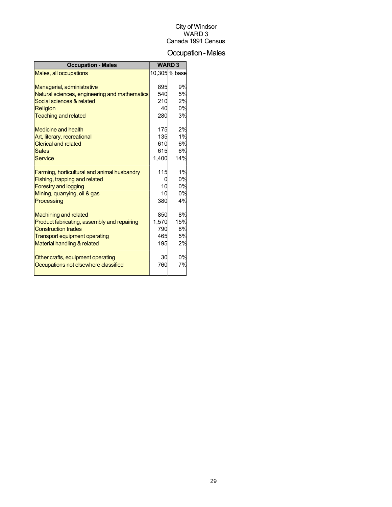## Occupation-Males

| <b>Occupation - Males</b>                                                 |            | <b>WARD3</b>  |
|---------------------------------------------------------------------------|------------|---------------|
| Males, all occupations                                                    |            | 10,305 % base |
|                                                                           |            |               |
| Managerial, administrative                                                | 895        | 9%            |
| Natural sciences, engineering and mathematics                             | 540        | 5%            |
| Social sciences & related                                                 | 210        | 2%            |
| <b>Religion</b>                                                           | 40         | 0%            |
| <b>Teaching and related</b>                                               | 280        | 3%            |
| Medicine and health                                                       | 175        | 2%            |
| Art, literary, recreational                                               | 135        | 1%            |
| <b>Clerical and related</b>                                               | 610        | 6%            |
| <b>Sales</b>                                                              | 615        | 6%            |
| <b>Service</b>                                                            | 1,400      | 14%           |
|                                                                           |            |               |
| Farming, horticultural and animal husbandry                               | 115        | 1%            |
| Fishing, trapping and related                                             |            | 0%            |
| <b>Forestry and logging</b>                                               | 10         | 0%            |
| Mining, quarrying, oil & gas                                              | 10         | 0%            |
| Processing                                                                | 380        | 4%            |
|                                                                           |            |               |
| <b>Machining and related</b>                                              | 850        | 8%            |
| Product fabricating, assembly and repairing<br><b>Construction trades</b> | 1,570      | 15%<br>8%     |
|                                                                           | 790<br>465 | 5%            |
| <b>Transport equipment operating</b>                                      |            |               |
| Material handling & related                                               | 195        | 2%            |
| Other crafts, equipment operating                                         | 30         | 0%            |
| Occupations not elsewhere classified                                      | 760        | 7%            |
|                                                                           |            |               |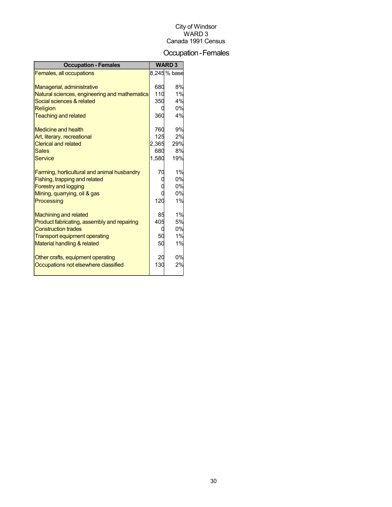## Occupation-Females

| <b>Occupation - Females</b>                   |       | <b>WARD 3</b> |
|-----------------------------------------------|-------|---------------|
| Females, all occupations                      |       | 8,245% base   |
|                                               |       |               |
| Managerial, administrative                    | 680   | 8%            |
| Natural sciences, engineering and mathematics | 110   | 1%            |
| Social sciences & related                     | 350   | 4%            |
| <b>Religion</b>                               | 0     | 0%            |
| <b>Teaching and related</b>                   | 360   | 4%            |
| Medicine and health                           | 760   | 9%            |
| Art, literary, recreational                   | 125   | 2%            |
| <b>Clerical and related</b>                   | 2,365 | 29%           |
| <b>Sales</b>                                  | 680   | 8%            |
| <b>Service</b>                                | 1,580 | 19%           |
| Farming, horticultural and animal husbandry   | 70    | 1%            |
| Fishing, trapping and related                 |       | 0%            |
| <b>Forestry and logging</b>                   |       | 0%            |
| Mining, quarrying, oil & gas                  |       | 0%            |
| Processing                                    | 120   | 1%            |
| <b>Machining and related</b>                  | 85    | 1%            |
| Product fabricating, assembly and repairing   | 405   | 5%            |
| <b>Construction trades</b>                    | U     | 0%            |
| <b>Transport equipment operating</b>          | 50    | 1%            |
| Material handling & related                   | 50    | 1%            |
| Other crafts, equipment operating             | 20    | 0%            |
| Occupations not elsewhere classified          | 130   | 2%            |
|                                               |       |               |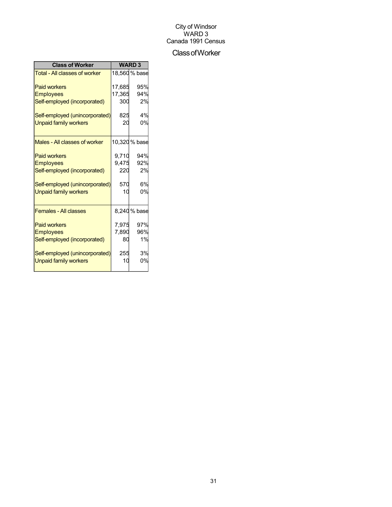#### ClassofWorker

| <b>Class of Worker</b>               | <b>WARD3</b> |               |  |
|--------------------------------------|--------------|---------------|--|
| <b>Total - All classes of worker</b> |              | 18,560 % base |  |
| <b>Paid workers</b>                  | 17.685       | 95%           |  |
| <b>Employees</b>                     | 17,365       | 94%           |  |
| Self-employed (incorporated)         | 300          | 2%            |  |
| Self-employed (unincorporated)       | 825          | 4%            |  |
| <b>Unpaid family workers</b>         | 20           | 0%            |  |
| Males - All classes of worker        |              | 10,320 % base |  |
| <b>Paid workers</b>                  | 9,710        | 94%           |  |
| <b>Employees</b>                     | 9,475        | 92%           |  |
| Self-employed (incorporated)         | 220          | 2%            |  |
| Self-employed (unincorporated)       | 570          | 6%            |  |
| <b>Unpaid family workers</b>         | 10           | 0%            |  |
| <b>Females - All classes</b>         |              | 8,240 % base  |  |
| <b>Paid workers</b>                  | 7,975        | 97%           |  |
| <b>Employees</b>                     | 7,890        | 96%           |  |
| Self-employed (incorporated)         | 80           | 1%            |  |
| Self-employed (unincorporated)       | 255          | 3%            |  |
| <b>Unpaid family workers</b>         | 10           | 0%            |  |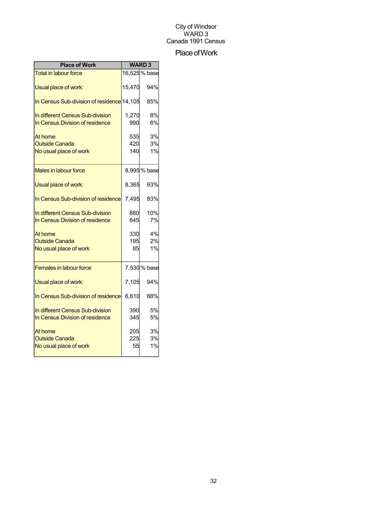#### Place of Work

| <b>Place of Work</b>                                                | <b>WARD3</b>      |                |
|---------------------------------------------------------------------|-------------------|----------------|
| <b>Total in labour force</b>                                        |                   | 16,525 % base  |
| Usual place of work:                                                | 15,470            | 94%            |
| In Census Sub-division of residence 14,105                          |                   | 85%            |
| In different Census Sub-division<br>In Census Division of residence | 1,270<br>990      | 8%<br>6%       |
| At home<br><b>Outside Canada</b><br>No usual place of work          | 535<br>420<br>140 | 3%<br>3%<br>1% |
| Males in labour force                                               |                   | 8,995% base    |
| Usual place of work:                                                | 8,365             | 93%            |
| In Census Sub-division of residence                                 | 7,495             | 83%            |
| In different Census Sub-division<br>In Census Division of residence | 880<br>645        | 10%<br>7%      |
| At home<br><b>Outside Canada</b><br>No usual place of work          | 330<br>195<br>85  | 4%<br>2%<br>1% |
| <b>Females in labour force</b>                                      |                   | 7,530 % base   |
| Usual place of work:                                                | 7,105             | 94%            |
| In Census Sub-division of residence                                 | 6,610             | 88%            |
| In different Census Sub-division<br>In Census Division of residence | 390<br>345        | 5%<br>5%       |
| At home<br><b>Outside Canada</b><br>No usual place of work          | 205<br>225<br>55  | 3%<br>3%<br>1% |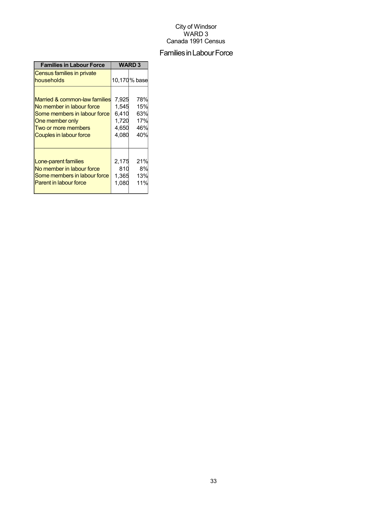## Families in Labour Force

| <b>Families in Labour Force</b>          | <b>WARD3</b> |              |  |
|------------------------------------------|--------------|--------------|--|
| Census families in private<br>households |              | 10,170% base |  |
| Married & common-law families            | 7,925        | 78%          |  |
| No member in labour force                | 1,545        | 15%          |  |
| Some members in labour force             | 6,410        | 63%          |  |
| One member only                          | 1,720        | 17%          |  |
| Two or more members                      | 4,650        | 46%          |  |
| Couples in labour force                  | 4,080        | 40%          |  |
| Lone-parent families                     | 2,175        | 21%          |  |
| No member in labour force                | 810          | 8%           |  |
| Some members in labour force             | 1,365        | 13%          |  |
| <b>Parent in labour force</b>            | 1,080        | 11%          |  |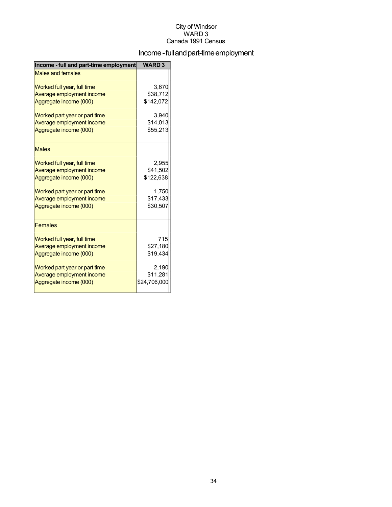## Income - full and part-time employment

| Income - full and part-time employment | <b>WARD3</b> |
|----------------------------------------|--------------|
| <b>Males and females</b>               |              |
| Worked full year, full time            | 3,670        |
| Average employment income              | \$38,712     |
| Aggregate income (000)                 | \$142,072    |
| Worked part year or part time          | 3.940        |
| Average employment income              | \$14,013     |
| Aggregate income (000)                 | \$55,213     |
| <b>Males</b>                           |              |
| Worked full year, full time            | 2,955        |
| Average employment income              | \$41,502     |
| Aggregate income (000)                 | \$122,638    |
| Worked part year or part time          | 1,750        |
| Average employment income              | \$17,433     |
| Aggregate income (000)                 | \$30,507     |
| <b>Females</b>                         |              |
| Worked full year, full time            | 715          |
| Average employment income              | \$27,180     |
| Aggregate income (000)                 | \$19,434     |
| Worked part year or part time          | 2,190        |
| Average employment income              | \$11,281     |
| Aggregate income (000)                 | \$24,706,000 |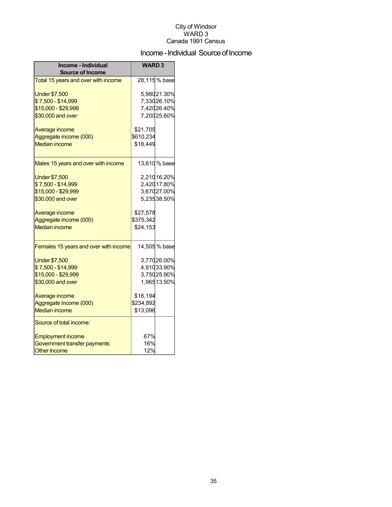## Income - Individual Source of Income

| Income - Individual<br><b>Source of Income</b> | <b>WARD3</b> |               |
|------------------------------------------------|--------------|---------------|
| Total 15 years and over with income            |              | 28,115 % base |
| <b>Under \$7,500</b>                           |              | 5,98021.30%   |
| \$7,500 - \$14,999                             |              | 7,33026.10%   |
| \$15,000 - \$29,999                            |              | 7,42026.40%   |
| \$30,000 and over                              |              | 7,20025.60%   |
| Average income                                 | \$21,705     |               |
| Aggregate income (000)                         | \$610,234    |               |
| <b>Median income</b>                           | \$18,449     |               |
| Males 15 years and over with income            |              | 13,610 % base |
| <b>Under \$7,500</b>                           |              | 2,21016.20%   |
| \$7,500 - \$14,999                             |              | 2,420 17.80%  |
| \$15,000 - \$29,999                            |              | 3,67027.00%   |
| \$30,000 and over                              |              | 5,23538.50%   |
| Average income                                 | \$27,578     |               |
| Aggregate income (000)                         | \$375,342    |               |
| <b>Median income</b>                           | \$24,153     |               |
| Females 15 years and over with income          |              | 14,505 % base |
| <b>Under \$7,500</b>                           |              | 3,77026.00%   |
| \$7,500 - \$14,999                             |              | 4,91033.90%   |
| \$15,000 - \$29,999                            |              | 3,75025.90%   |
| \$30,000 and over                              |              | 1,96513.50%   |
| Average income                                 | \$16,194     |               |
| Aggregate income (000)                         | \$234,892    |               |
| <b>Median income</b>                           | \$13,096     |               |
| Source of total income:                        |              |               |
| <b>Employment income</b>                       | 67%          |               |
| Government transfer payments                   | 16%          |               |
| <b>Other income</b>                            | 12%          |               |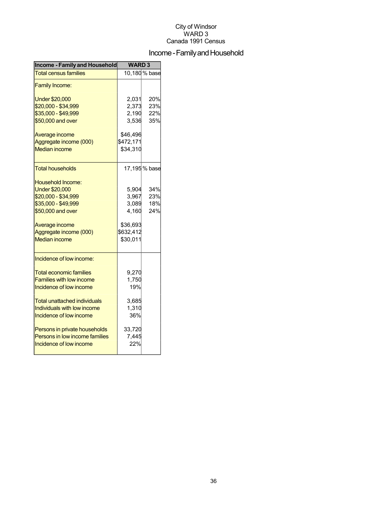## Income - Family and Household

| <b>Income - Family and Household</b> | <b>WARD3</b> |               |  |
|--------------------------------------|--------------|---------------|--|
| <b>Total census families</b>         |              | 10,180 % base |  |
| <b>Family Income:</b>                |              |               |  |
| <b>Under \$20,000</b>                | 2,031        | 20%           |  |
| \$20,000 - \$34,999                  | 2,373        | 23%           |  |
| \$35,000 - \$49,999                  | 2,190        | 22%           |  |
| \$50,000 and over                    | 3,536        | 35%           |  |
| Average income                       | \$46,496     |               |  |
| Aggregate income (000)               | \$472,171    |               |  |
| <b>Median income</b>                 | \$34,310     |               |  |
| <b>Total households</b>              |              | 17,195 % base |  |
| <b>Household Income:</b>             |              |               |  |
| <b>Under \$20,000</b>                | 5,904        | 34%           |  |
| \$20,000 - \$34,999                  | 3,967        | 23%           |  |
| \$35,000 - \$49,999                  | 3,089        | 18%           |  |
| \$50,000 and over                    | 4,160        | 24%           |  |
| Average income                       | \$36,693     |               |  |
| Aggregate income (000)               | \$632,412    |               |  |
| <b>Median income</b>                 | \$30,011     |               |  |
| Incidence of low income:             |              |               |  |
| <b>Total economic families</b>       | 9,270        |               |  |
| <b>Families with low income</b>      | 1,750        |               |  |
| Incidence of low income              | 19%          |               |  |
| Total unattached individuals         | 3,685        |               |  |
| Individuals with low income          | 1,310        |               |  |
| Incidence of low income              | 36%          |               |  |
| Persons in private households        | 33,720       |               |  |
| Persons in low income families       | 7,445        |               |  |
| Incidence of low income              | 22%          |               |  |